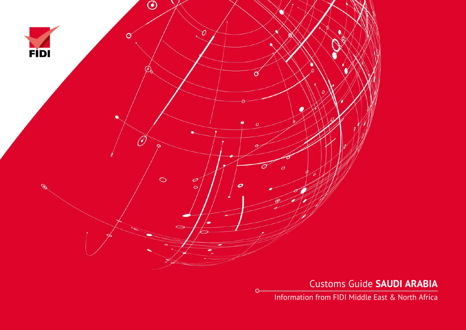

Customs Guide **SAUDI ARABIA**

Information from FIDI Middle East & North Africa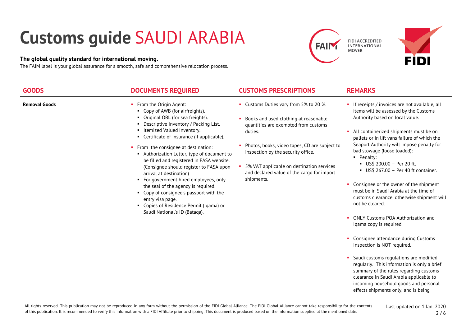## **Customs guide** SAUDI ARABIA

## **The global quality standard for international moving.**

The FAIM label is your global assurance for a smooth, safe and comprehensive relocation process.





| <b>GOODS</b>         | <b>DOCUMENTS REQUIRED</b>                                                                                                                                                                                                                                                                                                                                                                                                                                                                                                                                                                                                                                        | <b>CUSTOMS PRESCRIPTIONS</b>                                                                                                                                                                                                                                                                                                         | <b>REMARKS</b>                                                                                                                                                                                                                                                                                                                                                                                                                                                                                                                                                                                                                                                                                                                                                                                                                                                                                                                                                       |
|----------------------|------------------------------------------------------------------------------------------------------------------------------------------------------------------------------------------------------------------------------------------------------------------------------------------------------------------------------------------------------------------------------------------------------------------------------------------------------------------------------------------------------------------------------------------------------------------------------------------------------------------------------------------------------------------|--------------------------------------------------------------------------------------------------------------------------------------------------------------------------------------------------------------------------------------------------------------------------------------------------------------------------------------|----------------------------------------------------------------------------------------------------------------------------------------------------------------------------------------------------------------------------------------------------------------------------------------------------------------------------------------------------------------------------------------------------------------------------------------------------------------------------------------------------------------------------------------------------------------------------------------------------------------------------------------------------------------------------------------------------------------------------------------------------------------------------------------------------------------------------------------------------------------------------------------------------------------------------------------------------------------------|
| <b>Removal Goods</b> | • From the Origin Agent:<br>• Copy of AWB (for airfreights).<br>• Original OBL (for sea freights).<br>• Descriptive Inventory / Packing List.<br>• Itemized Valued Inventory.<br>• Certificate of insurance (if applicable).<br>• From the consignee at destination:<br>Authorization Letter, type of document to<br>be filled and registered in FASA website.<br>(Consignee should register to FASA upon<br>arrival at destination)<br>• For government hired employees, only<br>the seal of the agency is required.<br>• Copy of consignee's passport with the<br>entry visa page.<br>• Copies of Residence Permit (Iqama) or<br>Saudi National's ID (Bataqa). | • Customs Duties vary from 5% to 20 %.<br>Books and used clothing at reasonable<br>quantities are exempted from customs<br>duties.<br>Photos, books, video tapes, CD are subject to<br>inspection by the security office.<br>• 5% VAT applicable on destination services<br>and declared value of the cargo for import<br>shipments. | • If receipts / invoices are not available, all<br>items will be assessed by the Customs<br>Authority based on local value.<br>All containerized shipments must be on<br>pallets or in lift vans failure of which the<br>Seaport Authority will impose penalty for<br>bad stowage (loose loaded):<br>• Penalty:<br>US\$ 200.00 - Per 20 ft,<br>$\blacksquare$ US\$ 267.00 - Per 40 ft container.<br>• Consignee or the owner of the shipment<br>must be in Saudi Arabia at the time of<br>customs clearance, otherwise shipment will<br>not be cleared.<br><b>ONLY Customs POA Authorization and</b><br>Iqama copy is required.<br>Consignee attendance during Customs<br>Inspection is NOT required.<br>Saudi customs regulations are modified<br>regularly. This information is only a brief<br>summary of the rules regarding customs<br>clearance in Saudi Arabia applicable to<br>incoming household goods and personal<br>effects shipments only, and is being |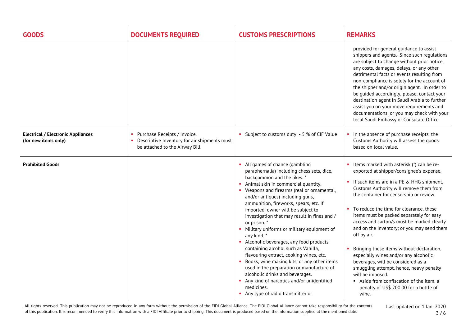| <b>GOODS</b>                                                      | <b>DOCUMENTS REQUIRED</b>                                                                                       | <b>CUSTOMS PRESCRIPTIONS</b>                                                                                                                                                                                                                                                                                                                                                                                                                                                                                                                                                                                                                                                                                                                                                                               | <b>REMARKS</b>                                                                                                                                                                                                                                                                                                                                                                                                                                                                                                                                                                                                                                                                                                         |
|-------------------------------------------------------------------|-----------------------------------------------------------------------------------------------------------------|------------------------------------------------------------------------------------------------------------------------------------------------------------------------------------------------------------------------------------------------------------------------------------------------------------------------------------------------------------------------------------------------------------------------------------------------------------------------------------------------------------------------------------------------------------------------------------------------------------------------------------------------------------------------------------------------------------------------------------------------------------------------------------------------------------|------------------------------------------------------------------------------------------------------------------------------------------------------------------------------------------------------------------------------------------------------------------------------------------------------------------------------------------------------------------------------------------------------------------------------------------------------------------------------------------------------------------------------------------------------------------------------------------------------------------------------------------------------------------------------------------------------------------------|
|                                                                   |                                                                                                                 |                                                                                                                                                                                                                                                                                                                                                                                                                                                                                                                                                                                                                                                                                                                                                                                                            | provided for general guidance to assist<br>shippers and agents. Since such regulations<br>are subject to change without prior notice,<br>any costs, damages, delays, or any other<br>detrimental facts or events resulting from<br>non-compliance is solely for the account of<br>the shipper and/or origin agent. In order to<br>be guided accordingly, please, contact your<br>destination agent in Saudi Arabia to further<br>assist you on your move requirements and<br>documentations, or you may check with your<br>local Saudi Embassy or Consulate Office.                                                                                                                                                    |
| <b>Electrical / Electronic Appliances</b><br>(for new items only) | Purchase Receipts / Invoice.<br>Descriptive Inventory for air shipments must<br>be attached to the Airway Bill. | • Subject to customs duty - 5 % of CIF Value                                                                                                                                                                                                                                                                                                                                                                                                                                                                                                                                                                                                                                                                                                                                                               | In the absence of purchase receipts, the<br>Customs Authority will assess the goods<br>based on local value.                                                                                                                                                                                                                                                                                                                                                                                                                                                                                                                                                                                                           |
| <b>Prohibited Goods</b>                                           |                                                                                                                 | All games of chance (gambling<br>paraphernalia) including chess sets, dice,<br>backgammon and the likes. *<br>• Animal skin in commercial quantity.<br>Weapons and firearms (real or ornamental,<br>and/or antiques) including guns,<br>ammunition, fireworks, spears, etc. If<br>imported, owner will be subject to<br>investigation that may result in fines and /<br>or prison. *<br>Military uniforms or military equipment of<br>any kind.*<br>Alcoholic beverages, any food products<br>containing alcohol such as Vanilla,<br>flavouring extract, cooking wines, etc.<br>Books, wine making kits, or any other items<br>used in the preparation or manufacture of<br>alcoholic drinks and beverages.<br>Any kind of narcotics and/or unidentified<br>medicines.<br>Any type of radio transmitter or | • Items marked with asterisk (*) can be re-<br>exported at shipper/consignee's expense.<br>• If such items are in a PE & HHG shipment,<br>Customs Authority will remove them from<br>the container for censorship or review.<br>To reduce the time for clearance, these<br>items must be packed separately for easy<br>access and carton/s must be marked clearly<br>and on the inventory; or you may send them<br>off by air.<br>Bringing these items without declaration,<br>especially wines and/or any alcoholic<br>beverages, will be considered as a<br>smuggling attempt, hence, heavy penalty<br>will be imposed.<br>Aside from confiscation of the item, a<br>penalty of US\$ 200.00 for a bottle of<br>wine. |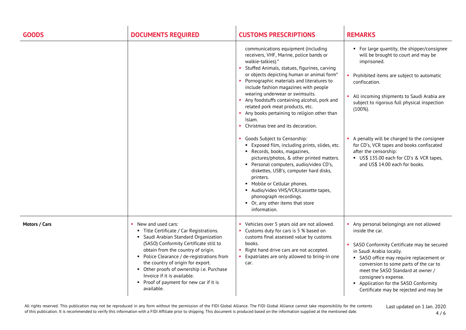| <b>GOODS</b>  | <b>DOCUMENTS REQUIRED</b>                                                                                                                                                                                                                                                                                                                                                                                         | <b>CUSTOMS PRESCRIPTIONS</b>                                                                                                                                                                                                                                                                                                                                                                                                                                                                                 | <b>REMARKS</b>                                                                                                                                                                                                                                                                                                                                                               |
|---------------|-------------------------------------------------------------------------------------------------------------------------------------------------------------------------------------------------------------------------------------------------------------------------------------------------------------------------------------------------------------------------------------------------------------------|--------------------------------------------------------------------------------------------------------------------------------------------------------------------------------------------------------------------------------------------------------------------------------------------------------------------------------------------------------------------------------------------------------------------------------------------------------------------------------------------------------------|------------------------------------------------------------------------------------------------------------------------------------------------------------------------------------------------------------------------------------------------------------------------------------------------------------------------------------------------------------------------------|
|               |                                                                                                                                                                                                                                                                                                                                                                                                                   | communications equipment (including<br>receivers, VHF, Marine, police bands or<br>walkie-talkies).*<br>Stuffed Animals, statues, figurines, carving<br>or objects depicting human or animal form*<br>Pornographic materials and literatures to<br>include fashion magazines with people<br>wearing underwear or swimsuits.<br>Any foodstuffs containing alcohol, pork and<br>related pork meat products, etc.<br>Any books pertaining to religion other than<br>Islam.<br>Christmas tree and its decoration. | • For large quantity, the shipper/consignee<br>will be brought to court and may be<br>imprisoned.<br>• Prohibited items are subject to automatic<br>confiscation.<br>• All incoming shipments to Saudi Arabia are<br>subject to rigorous full physical inspection<br>$(100\%).$                                                                                              |
|               |                                                                                                                                                                                                                                                                                                                                                                                                                   | Goods Subject to Censorship:<br>" Exposed film, including prints, slides, etc.<br>Records, books, magazines,<br>pictures/photos, & other printed matters.<br>Personal computers, audio/video CD's,<br>diskettes, USB's, computer hard disks,<br>printers.<br>• Mobile or Cellular phones.<br>• Audio/video VHS/VCR/cassette tapes,<br>phonograph recordings.<br>• Or, any other items that store<br>information.                                                                                             | A penalty will be charged to the consignee<br>for CD's, VCR tapes and books confiscated<br>after the censorship:<br>US\$ 135.00 each for CD's & VCR tapes,<br>and US\$ 14.00 each for books.                                                                                                                                                                                 |
| Motors / Cars | • New and used cars:<br>• Title Certificate / Car Registrations.<br>• Saudi Arabian Standard Organization<br>(SASO) Conformity Certificate still to<br>obtain from the country of origin.<br>• Police Clearance / de-registrations from<br>the country of origin for export.<br>• Other proofs of ownership i.e. Purchase<br>Invoice if it is available.<br>• Proof of payment for new car if it is<br>available. | Vehicles over 5 years old are not allowed.<br>Customs duty for cars is 5 % based on<br>customs final assessed value by customs<br>books.<br>Right hand drive cars are not accepted.<br>Expatriates are only allowed to bring-in one<br>car.                                                                                                                                                                                                                                                                  | Any personal belongings are not allowed<br>inside the car.<br>• SASO Conformity Certificate may be secured<br>in Saudi Arabia locally.<br>• SASO office may require replacement or<br>conversion to some parts of the car to<br>meet the SASO Standard at owner /<br>consignee's expense.<br>• Application for the SASO Conformity<br>Certificate may be rejected and may be |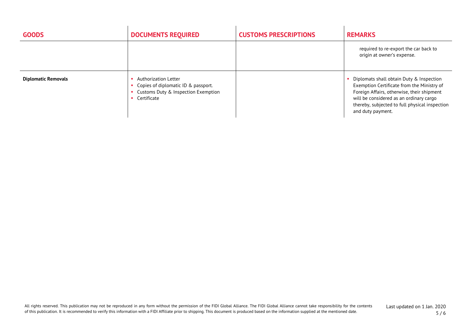| <b>GOODS</b>               | <b>DOCUMENTS REQUIRED</b>                                                                                         | <b>CUSTOMS PRESCRIPTIONS</b> | <b>REMARKS</b>                                                                                                                                                                                                                                           |
|----------------------------|-------------------------------------------------------------------------------------------------------------------|------------------------------|----------------------------------------------------------------------------------------------------------------------------------------------------------------------------------------------------------------------------------------------------------|
|                            |                                                                                                                   |                              | required to re-export the car back to<br>origin at owner's expense.                                                                                                                                                                                      |
| <b>Diplomatic Removals</b> | Authorization Letter<br>Copies of diplomatic ID & passport.<br>Customs Duty & Inspection Exemption<br>Certificate |                              | • Diplomats shall obtain Duty & Inspection<br>Exemption Certificate from the Ministry of<br>Foreign Affairs, otherwise, their shipment<br>will be considered as an ordinary cargo<br>thereby, subjected to full physical inspection<br>and duty payment. |